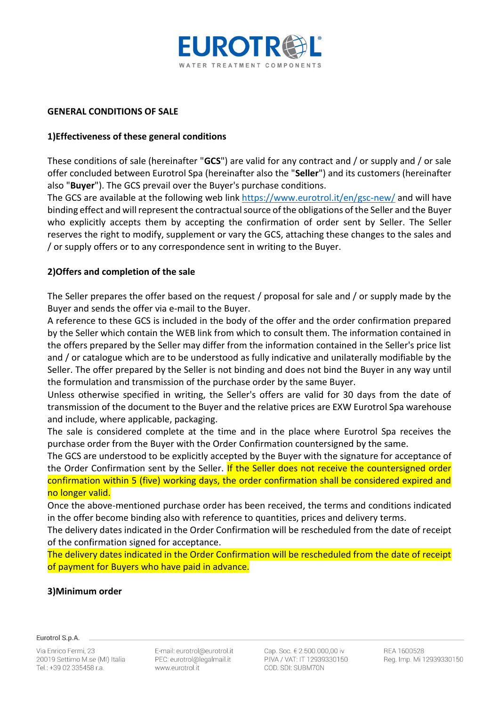

### **GENERAL CONDITIONS OF SALE**

# **1)Effectiveness of these general conditions**

These conditions of sale (hereinafter "**GCS**") are valid for any contract and / or supply and / or sale offer concluded between Eurotrol Spa (hereinafter also the "**Seller**") and its customers (hereinafter also "**Buyer**"). The GCS prevail over the Buyer's purchase conditions.

The GCS are available at the following web link<https://www.eurotrol.it/en/gsc-new/> and will have binding effect and will represent the contractual source of the obligations of the Seller and the Buyer who explicitly accepts them by accepting the confirmation of order sent by Seller. The Seller reserves the right to modify, supplement or vary the GCS, attaching these changes to the sales and / or supply offers or to any correspondence sent in writing to the Buyer.

### **2)Offers and completion of the sale**

The Seller prepares the offer based on the request / proposal for sale and / or supply made by the Buyer and sends the offer via e-mail to the Buyer.

A reference to these GCS is included in the body of the offer and the order confirmation prepared by the Seller which contain the WEB link from which to consult them. The information contained in the offers prepared by the Seller may differ from the information contained in the Seller's price list and / or catalogue which are to be understood as fully indicative and unilaterally modifiable by the Seller. The offer prepared by the Seller is not binding and does not bind the Buyer in any way until the formulation and transmission of the purchase order by the same Buyer.

Unless otherwise specified in writing, the Seller's offers are valid for 30 days from the date of transmission of the document to the Buyer and the relative prices are EXW Eurotrol Spa warehouse and include, where applicable, packaging.

The sale is considered complete at the time and in the place where Eurotrol Spa receives the purchase order from the Buyer with the Order Confirmation countersigned by the same.

The GCS are understood to be explicitly accepted by the Buyer with the signature for acceptance of the Order Confirmation sent by the Seller. If the Seller does not receive the countersigned order confirmation within 5 (five) working days, the order confirmation shall be considered expired and no longer valid.

Once the above-mentioned purchase order has been received, the terms and conditions indicated in the offer become binding also with reference to quantities, prices and delivery terms.

The delivery dates indicated in the Order Confirmation will be rescheduled from the date of receipt of the confirmation signed for acceptance.

The delivery dates indicated in the Order Confirmation will be rescheduled from the date of receipt of payment for Buyers who have paid in advance.

#### **3)Minimum order**

#### Eurotrol S.p.A.

Via Enrico Fermi, 23 20019 Settimo M.se (MI) Italia Tel.: +39 02 335458 r.a.

E-mail: eurotrol@eurotrol.it PEC: eurotrol@legalmail.it www.eurotrol.it

Cap. Soc. € 2.500.000.00 iv P.IVA / VAT: IT 12939330150 COD, SDI: SUBM70N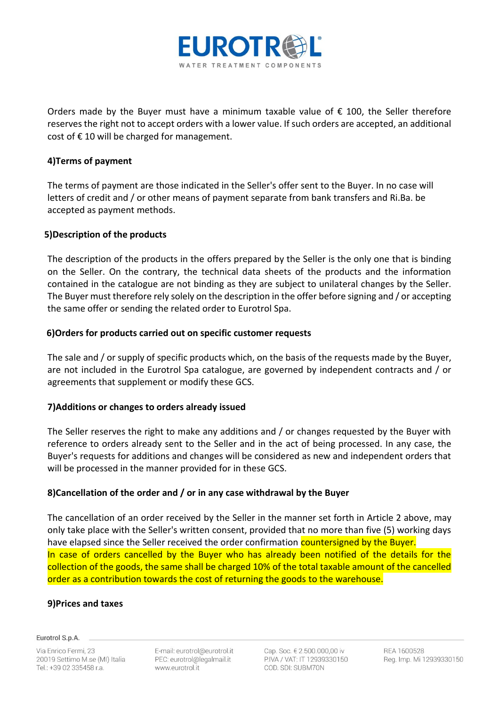

Orders made by the Buyer must have a minimum taxable value of  $\epsilon$  100, the Seller therefore reserves the right not to accept orders with a lower value. If such orders are accepted, an additional cost of  $\epsilon$  10 will be charged for management.

# **4)Terms of payment**

The terms of payment are those indicated in the Seller's offer sent to the Buyer. In no case will letters of credit and / or other means of payment separate from bank transfers and Ri.Ba. be accepted as payment methods.

# **5)Description of the products**

The description of the products in the offers prepared by the Seller is the only one that is binding on the Seller. On the contrary, the technical data sheets of the products and the information contained in the catalogue are not binding as they are subject to unilateral changes by the Seller. The Buyer must therefore rely solely on the description in the offer before signing and / or accepting the same offer or sending the related order to Eurotrol Spa.

# **6)Orders for products carried out on specific customer requests**

The sale and / or supply of specific products which, on the basis of the requests made by the Buyer, are not included in the Eurotrol Spa catalogue, are governed by independent contracts and / or agreements that supplement or modify these GCS.

# **7)Additions or changes to orders already issued**

The Seller reserves the right to make any additions and / or changes requested by the Buyer with reference to orders already sent to the Seller and in the act of being processed. In any case, the Buyer's requests for additions and changes will be considered as new and independent orders that will be processed in the manner provided for in these GCS.

# **8)Cancellation of the order and / or in any case withdrawal by the Buyer**

The cancellation of an order received by the Seller in the manner set forth in Article 2 above, may only take place with the Seller's written consent, provided that no more than five (5) working days have elapsed since the Seller received the order confirmation countersigned by the Buyer. In case of orders cancelled by the Buyer who has already been notified of the details for the collection of the goods, the same shall be charged 10% of the total taxable amount of the cancelled order as a contribution towards the cost of returning the goods to the warehouse.

# **9)Prices and taxes**

#### Eurotrol S.p.A.

Via Enrico Fermi, 23 20019 Settimo M.se (MI) Italia Tel.: +39 02 335458 r.a.

E-mail: eurotrol@eurotrol.it PEC: eurotrol@legalmail.it www.eurotrol.it

Cap. Soc. € 2.500.000.00 iv P.IVA / VAT: IT 12939330150 COD, SDI: SUBM70N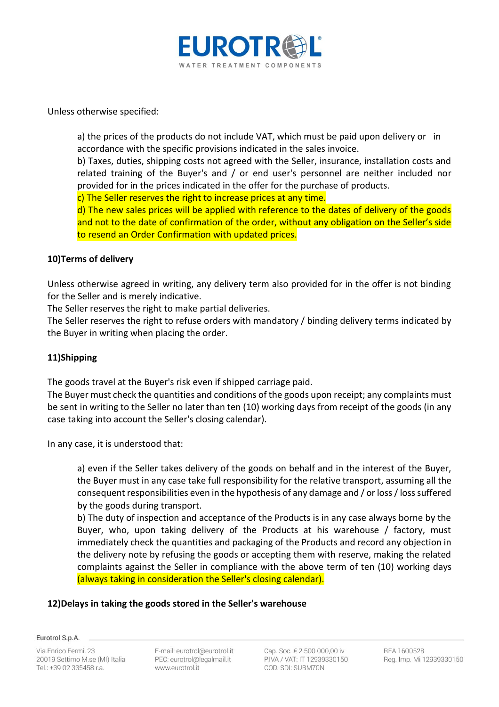

Unless otherwise specified:

a) the prices of the products do not include VAT, which must be paid upon delivery or in accordance with the specific provisions indicated in the sales invoice.

b) Taxes, duties, shipping costs not agreed with the Seller, insurance, installation costs and related training of the Buyer's and / or end user's personnel are neither included nor provided for in the prices indicated in the offer for the purchase of products.

c) The Seller reserves the right to increase prices at any time.

d) The new sales prices will be applied with reference to the dates of delivery of the goods and not to the date of confirmation of the order, without any obligation on the Seller's side to resend an Order Confirmation with updated prices.

### **10)Terms of delivery**

Unless otherwise agreed in writing, any delivery term also provided for in the offer is not binding for the Seller and is merely indicative.

The Seller reserves the right to make partial deliveries.

The Seller reserves the right to refuse orders with mandatory / binding delivery terms indicated by the Buyer in writing when placing the order.

# **11)Shipping**

The goods travel at the Buyer's risk even if shipped carriage paid.

The Buyer must check the quantities and conditions of the goods upon receipt; any complaints must be sent in writing to the Seller no later than ten (10) working days from receipt of the goods (in any case taking into account the Seller's closing calendar).

In any case, it is understood that:

a) even if the Seller takes delivery of the goods on behalf and in the interest of the Buyer, the Buyer must in any case take full responsibility for the relative transport, assuming all the consequent responsibilities even in the hypothesis of any damage and / or loss / loss suffered by the goods during transport.

b) The duty of inspection and acceptance of the Products is in any case always borne by the Buyer, who, upon taking delivery of the Products at his warehouse / factory, must immediately check the quantities and packaging of the Products and record any objection in the delivery note by refusing the goods or accepting them with reserve, making the related complaints against the Seller in compliance with the above term of ten (10) working days (always taking in consideration the Seller's closing calendar).

# **12)Delays in taking the goods stored in the Seller's warehouse**

Eurotrol S.p.A.

Via Enrico Fermi, 23 20019 Settimo M.se (MI) Italia Tel.: +39 02 335458 r.a.

E-mail: eurotrol@eurotrol.it PEC: eurotrol@legalmail.it www.eurotrol.it

Cap. Soc. € 2.500.000.00 iv P.IVA / VAT: IT 12939330150 COD. SDI: SUBM70N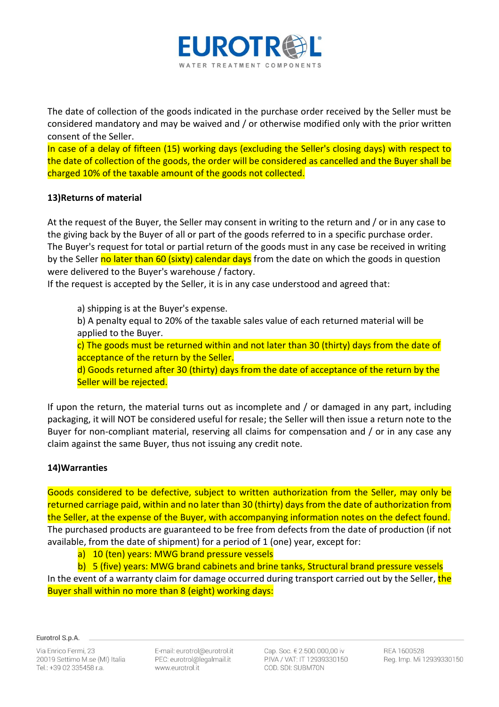

The date of collection of the goods indicated in the purchase order received by the Seller must be considered mandatory and may be waived and / or otherwise modified only with the prior written consent of the Seller.

In case of a delay of fifteen (15) working days (excluding the Seller's closing days) with respect to the date of collection of the goods, the order will be considered as cancelled and the Buyer shall be charged 10% of the taxable amount of the goods not collected.

# **13)Returns of material**

At the request of the Buyer, the Seller may consent in writing to the return and / or in any case to the giving back by the Buyer of all or part of the goods referred to in a specific purchase order. The Buyer's request for total or partial return of the goods must in any case be received in writing by the Seller no later than 60 (sixty) calendar days from the date on which the goods in question were delivered to the Buyer's warehouse / factory.

If the request is accepted by the Seller, it is in any case understood and agreed that:

a) shipping is at the Buyer's expense.

b) A penalty equal to 20% of the taxable sales value of each returned material will be applied to the Buyer.

c) The goods must be returned within and not later than 30 (thirty) days from the date of acceptance of the return by the Seller.

d) Goods returned after 30 (thirty) days from the date of acceptance of the return by the Seller will be rejected.

If upon the return, the material turns out as incomplete and / or damaged in any part, including packaging, it will NOT be considered useful for resale; the Seller will then issue a return note to the Buyer for non-compliant material, reserving all claims for compensation and / or in any case any claim against the same Buyer, thus not issuing any credit note.

# **14)Warranties**

Goods considered to be defective, subject to written authorization from the Seller, may only be returned carriage paid, within and no later than 30 (thirty) days from the date of authorization from the Seller, at the expense of the Buyer, with accompanying information notes on the defect found. The purchased products are guaranteed to be free from defects from the date of production (if not available, from the date of shipment) for a period of 1 (one) year, except for:

a) 10 (ten) years: MWG brand pressure vessels

b) 5 (five) years: MWG brand cabinets and brine tanks, Structural brand pressure vessels In the event of a warranty claim for damage occurred during transport carried out by the Seller, the Buyer shall within no more than 8 (eight) working days:

Eurotrol S.p.A.

Via Enrico Fermi, 23 20019 Settimo M.se (MI) Italia Tel.: +39 02 335458 r.a.

E-mail: eurotrol@eurotrol.it PEC: eurotrol@legalmail.it www.eurotrol.it

Cap. Soc. € 2.500.000.00 iv P.IVA / VAT: IT 12939330150 COD. SDI: SUBM70N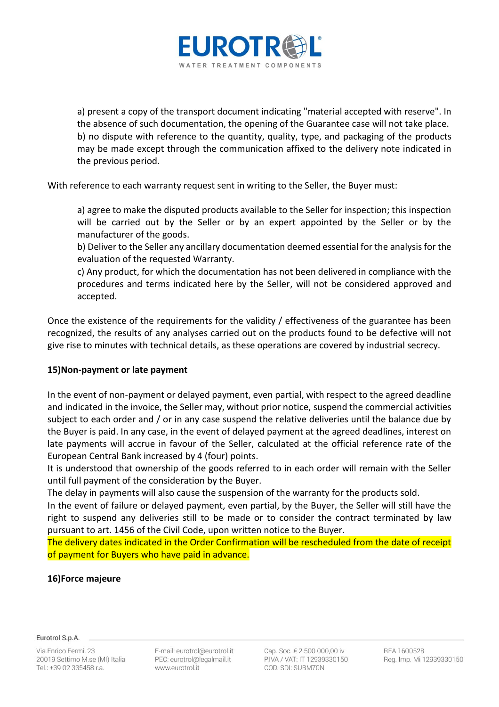

a) present a copy of the transport document indicating "material accepted with reserve". In the absence of such documentation, the opening of the Guarantee case will not take place. b) no dispute with reference to the quantity, quality, type, and packaging of the products may be made except through the communication affixed to the delivery note indicated in the previous period.

With reference to each warranty request sent in writing to the Seller, the Buyer must:

a) agree to make the disputed products available to the Seller for inspection; this inspection will be carried out by the Seller or by an expert appointed by the Seller or by the manufacturer of the goods.

b) Deliver to the Seller any ancillary documentation deemed essential for the analysis for the evaluation of the requested Warranty.

c) Any product, for which the documentation has not been delivered in compliance with the procedures and terms indicated here by the Seller, will not be considered approved and accepted.

Once the existence of the requirements for the validity / effectiveness of the guarantee has been recognized, the results of any analyses carried out on the products found to be defective will not give rise to minutes with technical details, as these operations are covered by industrial secrecy.

# **15)Non-payment or late payment**

In the event of non-payment or delayed payment, even partial, with respect to the agreed deadline and indicated in the invoice, the Seller may, without prior notice, suspend the commercial activities subject to each order and / or in any case suspend the relative deliveries until the balance due by the Buyer is paid. In any case, in the event of delayed payment at the agreed deadlines, interest on late payments will accrue in favour of the Seller, calculated at the official reference rate of the European Central Bank increased by 4 (four) points.

It is understood that ownership of the goods referred to in each order will remain with the Seller until full payment of the consideration by the Buyer.

The delay in payments will also cause the suspension of the warranty for the products sold.

In the event of failure or delayed payment, even partial, by the Buyer, the Seller will still have the right to suspend any deliveries still to be made or to consider the contract terminated by law pursuant to art. 1456 of the Civil Code, upon written notice to the Buyer.

The delivery dates indicated in the Order Confirmation will be rescheduled from the date of receipt of payment for Buyers who have paid in advance.

# **16)Force majeure**

Eurotrol S.p.A.

Via Enrico Fermi, 23 20019 Settimo M.se (MI) Italia Tel.: +39 02 335458 r.a.

E-mail: eurotrol@eurotrol.it PEC: eurotrol@legalmail.it www.eurotrol.it

Cap. Soc. € 2.500.000.00 iv P.IVA / VAT: IT 12939330150 COD. SDI: SUBM70N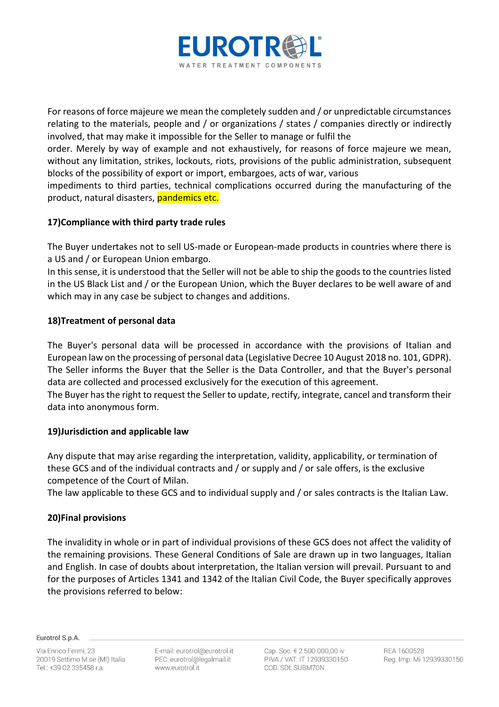

For reasons of force majeure we mean the completely sudden and / or unpredictable circumstances relating to the materials, people and / or organizations / states / companies directly or indirectly involved, that may make it impossible for the Seller to manage or fulfil the

order. Merely by way of example and not exhaustively, for reasons of force majeure we mean, without any limitation, strikes, lockouts, riots, provisions of the public administration, subsequent blocks of the possibility of export or import, embargoes, acts of war, various

impediments to third parties, technical complications occurred during the manufacturing of the product, natural disasters, pandemics etc.

# **17)Compliance with third party trade rules**

The Buyer undertakes not to sell US-made or European-made products in countries where there is a US and / or European Union embargo.

In this sense, it is understood that the Seller will not be able to ship the goods to the countries listed in the US Black List and / or the European Union, which the Buyer declares to be well aware of and which may in any case be subject to changes and additions.

# **18)Treatment of personal data**

The Buyer's personal data will be processed in accordance with the provisions of Italian and European law on the processing of personal data (Legislative Decree 10 August 2018 no. 101, GDPR). The Seller informs the Buyer that the Seller is the Data Controller, and that the Buyer's personal data are collected and processed exclusively for the execution of this agreement. The Buyer has the right to request the Seller to update, rectify, integrate, cancel and transform their

data into anonymous form.

# **19)Jurisdiction and applicable law**

Any dispute that may arise regarding the interpretation, validity, applicability, or termination of these GCS and of the individual contracts and / or supply and / or sale offers, is the exclusive competence of the Court of Milan.

The law applicable to these GCS and to individual supply and / or sales contracts is the Italian Law.

# **20)Final provisions**

The invalidity in whole or in part of individual provisions of these GCS does not affect the validity of the remaining provisions. These General Conditions of Sale are drawn up in two languages, Italian and English. In case of doubts about interpretation, the Italian version will prevail. Pursuant to and for the purposes of Articles 1341 and 1342 of the Italian Civil Code, the Buyer specifically approves the provisions referred to below:

Eurotrol S.p.A.

E-mail: eurotrol@eurotrol.it PEC: eurotrol@legalmail.it www.eurotrol.it

Cap. Soc. € 2.500.000.00 iv P.IVA / VAT: IT 12939330150 COD, SDI: SUBM70N